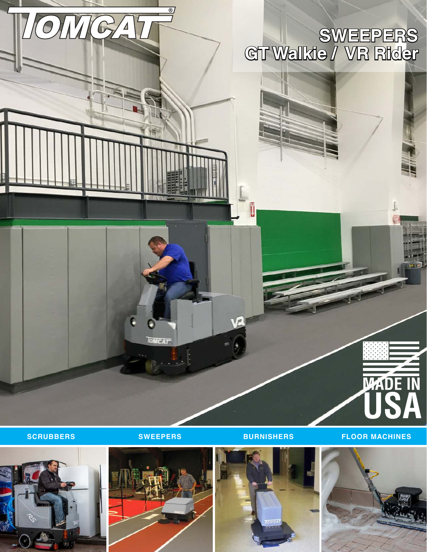#### **GT Walkie / VR Rider SWEEPERS**

**MCAT** 

 $\circledR$ 

**LOMIGA** 

Ũ

**SCRUBBERS SWEEPERS BURNISHERS FLOOR MACHINES**

**WADE IN** 







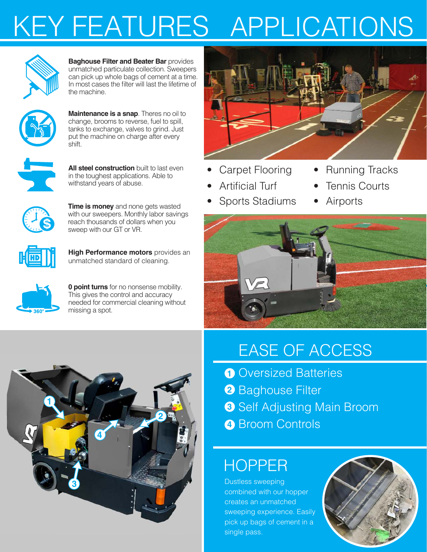# KEY FEATURES APPLICATIONS



**Baghouse Filter and Beater Bar** provides unmatched particulate collection. Sweepers can pick up whole bags of cement at a time. In most cases the filter will last the lifetime of the machine.



**Maintenance is a snap**. Theres no oil to change, brooms to reverse, fuel to spill, tanks to exchange, valves to grind. Just put the machine on charge after every shift.



**All steel construction** built to last even in the toughest applications. Able to withstand years of abuse.



**Time is money** and none gets wasted with our sweepers. Monthly labor savings reach thousands of dollars when you sweep with our GT or VR.



**High Performance motors** provides an unmatched standard of cleaning.



**0 point turns** for no nonsense mobility. This gives the control and accuracy needed for commercial cleaning without missing a spot.



- Carpet Flooring Running Tracks
- 
- Artificial Turf Tennis Courts
- Sports Stadiums Airports
- -





#### EASE OF ACCESS

- **1** Oversized Batteries
- **2** Baghouse Filter
- **3** Self Adjusting Main Broom
- Broom Controls **4**

### HOPPER

Dustless sweeping combined with our hopper creates an unmatched sweeping experience. Easily pick up bags of cement in a single pass.

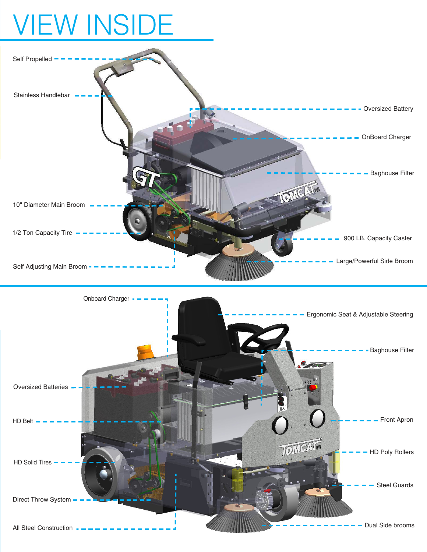## VIEW INSIDE